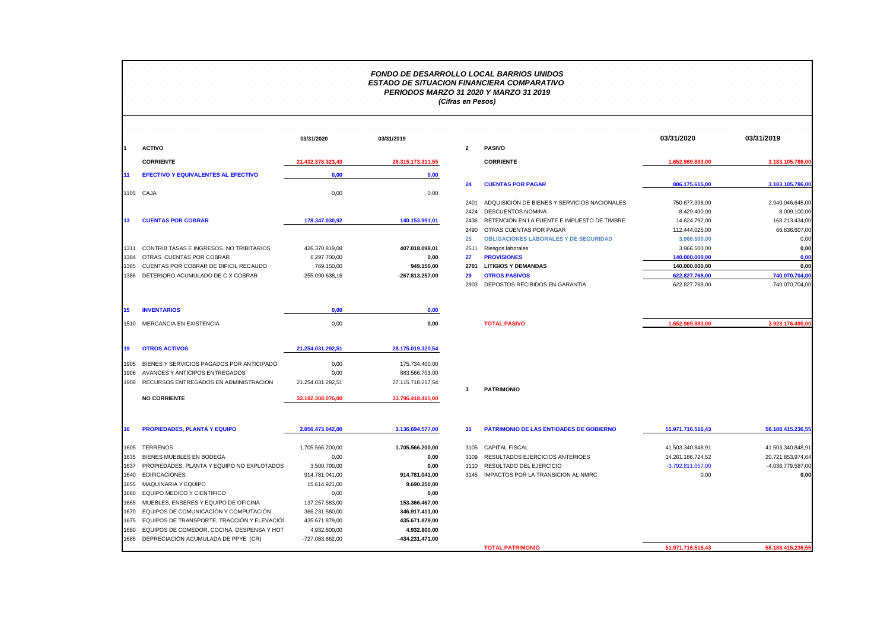## *FONDO DE DESARROLLO LOCAL BARRIOS UNIDOS ESTADO DE SITUACION FINANCIERA COMPARATIVO PERIODOS MARZO 31 2020 Y MARZO 31 2019 (Cifras en Pesos)*

|      | <b>ACTIVO</b>                               | 03/31/2020        | 03/31/2019        | $\overline{2}$ | <b>PASIVO</b>                                                          | 03/31/2020                      | 03/31/2019                      |
|------|---------------------------------------------|-------------------|-------------------|----------------|------------------------------------------------------------------------|---------------------------------|---------------------------------|
|      |                                             |                   |                   |                |                                                                        |                                 |                                 |
|      | <b>CORRIENTE</b>                            | 21.432.378.323,43 | 28.315.173.311,55 |                | <b>CORRIENTE</b>                                                       | 1.652.969.883,00                | 3.183.105.786,00                |
|      | <b>EFECTIVO Y EQUIVALENTES AL EFECTIVO</b>  | 0,00              | 0,00              |                |                                                                        |                                 |                                 |
|      |                                             |                   |                   | 24             | <b>CUENTAS POR PAGAR</b>                                               | 886.175.615,00                  | 3.183.105.786,00                |
|      | 1105 CAJA                                   | 0,00              | 0,00              |                |                                                                        |                                 |                                 |
|      |                                             |                   |                   | 2401           | ADQUISICIÓN DE BIENES Y SERVICIOS NACIONALES                           | 750.677.398.00                  | 2.940.046.645.00                |
| 13   |                                             |                   |                   | 2424           | <b>DESCUENTOS NOMINA</b>                                               | 8.429.400,00                    | 8.009.100,00                    |
|      | <b>CUENTAS POR COBRAR</b>                   | 178.347.030,92    | 140.153.991,01    | 2436<br>2490   | RETENCIÓN EN LA FUENTE E IMPUESTO DE TIMBRE<br>OTRAS CUENTAS POR PAGAR | 14.624.792,00<br>112.444.025.00 | 168.213.434,00<br>66.836.607.00 |
|      |                                             |                   |                   | 25             | <b>OBLIGACIONES LABORALES Y DE SEGURIDAD</b>                           | 3.966.500,00                    | 0,00                            |
| 1311 | CONTRIB TASAS E INGRESOS NO TRIBITARIOS     | 426.370.819,08    | 407.018.098,01    | 2511           | Riesgos laborales                                                      | 3.966.500,00                    | 0,00                            |
| 1384 | OTRAS CUENTAS POR COBRAR                    | 6.297.700,00      | 0,00              | 27             | <b>PROVISIONES</b>                                                     | 140.000.000,00                  | 0,00                            |
| 1385 | CUENTAS POR COBRAR DE DIFICIL RECAUDO       | 769.150,00        | 949.150,00        | 2701           | <b>LITIGIOS Y DEMANDAS</b>                                             | 140.000.000.00                  | 0,00                            |
| 1386 | DETERIORO ACUMULADO DE C X COBRAR           | $-255.090.638,16$ | -267.813.257,00   | 29             | <b>OTROS PASIVOS</b>                                                   | 622.827.768,00                  | 740.070.704,00                  |
|      |                                             |                   |                   | 2903           | DEPOSTOS RECIBIDOS EN GARANTIA                                         | 622.827.768,00                  | 740.070.704,00                  |
| 15   | <b>INVENTARIOS</b>                          | 0.00              | 0,00              |                |                                                                        |                                 |                                 |
|      |                                             |                   |                   |                |                                                                        |                                 |                                 |
|      | 1510 MERCANCIA EN EXISTENCIA                | 0,00              | 0,00              |                | <b>TOTAL PASIVO</b>                                                    | 1.652.969.883.00                | 3.923.176.490,00                |
| 19   | <b>OTROS ACTIVOS</b>                        | 21.254.031.292,51 | 28.175.019.320,54 |                |                                                                        |                                 |                                 |
| 1905 | BIENES Y SERVICIOS PAGADOS POR ANTICIPADO   | 0,00              | 175.734.400,00    |                |                                                                        |                                 |                                 |
| 1906 | AVANCES Y ANTICIPOS ENTREGADOS              | 0,00              | 883.566.703,00    |                |                                                                        |                                 |                                 |
| 1908 | RECURSOS ENTREGADOS EN ADMINISTRACION       | 21.254.031.292.51 | 27.115.718.217.54 |                |                                                                        |                                 |                                 |
|      | <b>NO CORRIENTE</b>                         | 32.192.308.076,00 | 33.796.418.415,00 | 3              | <b>PATRIMONIO</b>                                                      |                                 |                                 |
|      |                                             |                   |                   |                |                                                                        |                                 |                                 |
| 16   | <b>PROPIEDADES, PLANTA Y EQUIPO</b>         | 2.856.473.042,00  | 3.136.694.577,00  | 31             | <b>PATRIMONIO DE LAS ENTIDADES DE GOBIERNO</b>                         | 51.971.716.516.43               | 58.188.415.236,55               |
|      | 1605 TERRENOS                               | 1.705.566.200,00  | 1.705.566.200,00  | 3105           | <b>CAPITAL FISCAL</b>                                                  | 41.503.340.848,91               | 41.503.340.848.91               |
|      | 1635 BIENES MUEBLES EN BODEGA               | 0,00              | 0,00              | 3109           | RESULTADOS EJERCICIOS ANTERIOES                                        | 14.261.186.724,52               | 20.721.853.974,64               |
| 1637 | PROPIEDADES, PLANTA Y EQUIPO NO EXPLOTADOS  | 3.500.700,00      | 0,00              | 3110           | RESULTADO DEL EJERCICIO                                                | $-3.792.811.057,00$             | -4.036.779.587,00               |
| 1640 | <b>EDIFICACIONES</b>                        | 914.781.041.00    | 914.781.041.00    |                | 3145 IMPACTOS POR LA TRANSICION AL NMRC                                | 0,00                            | 0,00                            |
| 1655 | MAQUINARIA Y EQUIPO                         | 15.614.921,00     | 9.690.250,00      |                |                                                                        |                                 |                                 |
| 1660 | EQUIPO MEDICO Y CIENTIFICO                  | 0,00              | 0,00              |                |                                                                        |                                 |                                 |
| 1665 | MUEBLES, ENSERES Y EQUIPO DE OFICINA        | 137.257.583,00    | 153.366.467,00    |                |                                                                        |                                 |                                 |
|      | 1670 EQUIPOS DE COMUNICACIÓN Y COMPUTACIÓN  | 366.231.580,00    | 346.917.411,00    |                |                                                                        |                                 |                                 |
| 1675 | EQUIPOS DE TRANSPORTE, TRACCIÓN Y ELEVACIÓI | 435.671.879,00    | 435.671.879,00    |                |                                                                        |                                 |                                 |
| 1680 | EQUIPOS DE COMEDOR, COCINA, DESPENSA Y HOT  | 4.932.800,00      | 4.932.800,00      |                |                                                                        |                                 |                                 |
|      | 1685 DEPRECIACIÓN ACUMULADA DE PPYE (CR)    | -727.083.662.00   | -434.231.471.00   |                |                                                                        |                                 |                                 |

**TOTAL PATRIMONIO 51.971.716.516,43 58.188.415.236,55**